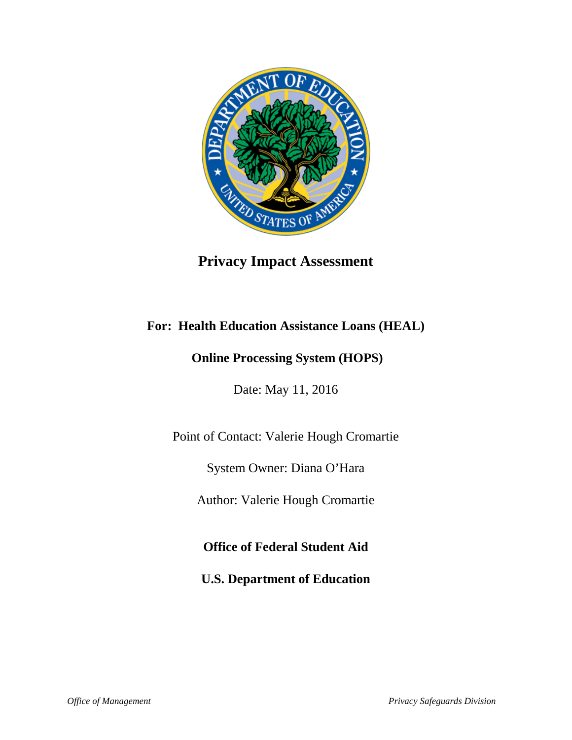

**Privacy Impact Assessment**

# **For: Health Education Assistance Loans (HEAL)**

# **Online Processing System (HOPS)**

Date: May 11, 2016

Point of Contact: Valerie Hough Cromartie

System Owner: Diana O'Hara

Author: Valerie Hough Cromartie

**Office of Federal Student Aid**

**U.S. Department of Education**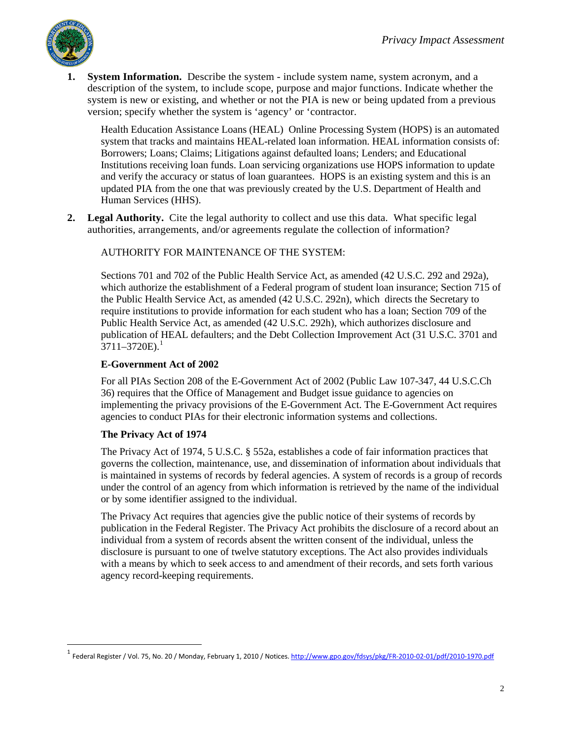

 $\overline{a}$ 

**System Information.** Describe the system - include system name, system acronym, and a description of the system, to include scope, purpose and major functions. Indicate whether the system is new or existing, and whether or not the PIA is new or being updated from a previous version; specify whether the system is 'agency' or 'contractor.

Health Education Assistance Loans (HEAL) Online Processing System (HOPS) is an automated system that tracks and maintains HEAL-related loan information. HEAL information consists of: Borrowers; Loans; Claims; Litigations against defaulted loans; Lenders; and Educational Institutions receiving loan funds. Loan servicing organizations use HOPS information to update and verify the accuracy or status of loan guarantees. HOPS is an existing system and this is an updated PIA from the one that was previously created by the U.S. Department of Health and Human Services (HHS).

**2. Legal Authority.** Cite the legal authority to collect and use this data. What specific legal authorities, arrangements, and/or agreements regulate the collection of information?

AUTHORITY FOR MAINTENANCE OF THE SYSTEM:

Sections 701 and 702 of the Public Health Service Act, as amended (42 U.S.C. 292 and 292a), which authorize the establishment of a Federal program of student loan insurance; Section 715 of the Public Health Service Act, as amended (42 U.S.C. 292n), which directs the Secretary to require institutions to provide information for each student who has a loan; Section 709 of the Public Health Service Act, as amended (42 U.S.C. 292h), which authorizes disclosure and publication of HEAL defaulters; and the Debt Collection Improvement Act (31 U.S.C. 3701 and  $3711 - 3720E$  $3711 - 3720E$  $3711 - 3720E$ ).<sup>1</sup>

#### **E-Government Act of 2002**

For all PIAs Section 208 of the E-Government Act of 2002 (Public Law 107-347, 44 U.S.C.Ch 36) requires that the Office of Management and Budget issue guidance to agencies on implementing the privacy provisions of the E-Government Act. The E-Government Act requires agencies to conduct PIAs for their electronic information systems and collections.

### **The Privacy Act of 1974**

The Privacy Act of 1974, 5 U.S.C. § 552a, establishes a code of fair information practices that governs the collection, maintenance, use, and dissemination of information about individuals that is maintained in systems of records by federal agencies. A system of records is a group of records under the control of an agency from which information is retrieved by the name of the individual or by some identifier assigned to the individual.

The Privacy Act requires that agencies give the public notice of their systems of records by publication in the Federal Register. The Privacy Act prohibits the disclosure of a record about an individual from a system of records absent the written consent of the individual, unless the disclosure is pursuant to one of twelve statutory exceptions. The Act also provides individuals with a means by which to seek access to and amendment of their records, and sets forth various agency record-keeping requirements.

<span id="page-1-0"></span><sup>&</sup>lt;sup>1</sup> Federal Register / Vol. 75, No. 20 / Monday, February 1, 2010 / Notices.<http://www.gpo.gov/fdsys/pkg/FR-2010-02-01/pdf/2010-1970.pdf>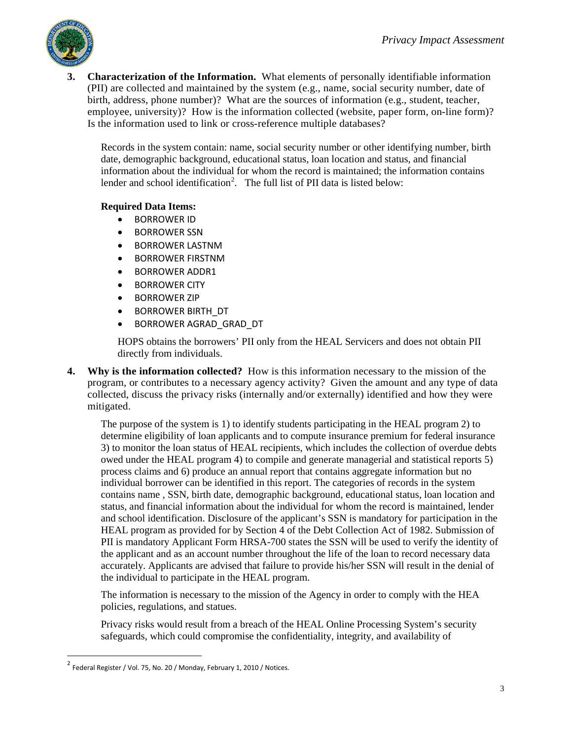

**3. Characterization of the Information.** What elements of personally identifiable information (PII) are collected and maintained by the system (e.g., name, social security number, date of birth, address, phone number)? What are the sources of information (e.g., student, teacher, employee, university)? How is the information collected (website, paper form, on-line form)? Is the information used to link or cross-reference multiple databases?

Records in the system contain: name, social security number or other identifying number, birth date, demographic background, educational status, loan location and status, and financial information about the individual for whom the record is maintained; the information contains lender and school identification<sup>[2](#page-2-0)</sup>. The full list of PII data is listed below:

### **Required Data Items:**

- BORROWER ID
- BORROWER SSN
- BORROWER LASTNM
- BORROWER FIRSTNM
- BORROWER ADDR1
- BORROWER CITY
- BORROWER ZIP
- BORROWER BIRTH\_DT
- BORROWER AGRAD\_GRAD\_DT

HOPS obtains the borrowers' PII only from the HEAL Servicers and does not obtain PII directly from individuals.

**4. Why is the information collected?** How is this information necessary to the mission of the program, or contributes to a necessary agency activity? Given the amount and any type of data collected, discuss the privacy risks (internally and/or externally) identified and how they were mitigated.

The purpose of the system is 1) to identify students participating in the HEAL program 2) to determine eligibility of loan applicants and to compute insurance premium for federal insurance 3) to monitor the loan status of HEAL recipients, which includes the collection of overdue debts owed under the HEAL program 4) to compile and generate managerial and statistical reports 5) process claims and 6) produce an annual report that contains aggregate information but no individual borrower can be identified in this report. The categories of records in the system contains name , SSN, birth date, demographic background, educational status, loan location and status, and financial information about the individual for whom the record is maintained, lender and school identification. Disclosure of the applicant's SSN is mandatory for participation in the HEAL program as provided for by Section 4 of the Debt Collection Act of 1982. Submission of PII is mandatory Applicant Form HRSA-700 states the SSN will be used to verify the identity of the applicant and as an account number throughout the life of the loan to record necessary data accurately. Applicants are advised that failure to provide his/her SSN will result in the denial of the individual to participate in the HEAL program.

The information is necessary to the mission of the Agency in order to comply with the HEA policies, regulations, and statues.

Privacy risks would result from a breach of the HEAL Online Processing System's security safeguards, which could compromise the confidentiality, integrity, and availability of

 $\overline{a}$ 

<span id="page-2-0"></span><sup>2</sup> Federal Register / Vol. 75, No. 20 / Monday, February 1, 2010 / Notices.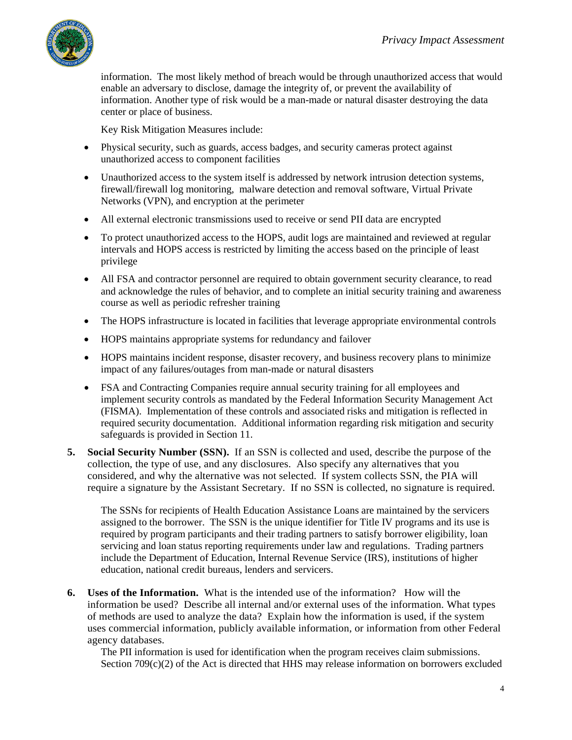

information. The most likely method of breach would be through unauthorized access that would enable an adversary to disclose, damage the integrity of, or prevent the availability of information. Another type of risk would be a man-made or natural disaster destroying the data center or place of business.

Key Risk Mitigation Measures include:

- Physical security, such as guards, access badges, and security cameras protect against unauthorized access to component facilities
- Unauthorized access to the system itself is addressed by network intrusion detection systems, firewall/firewall log monitoring, malware detection and removal software, Virtual Private Networks (VPN), and encryption at the perimeter
- All external electronic transmissions used to receive or send PII data are encrypted
- To protect unauthorized access to the HOPS, audit logs are maintained and reviewed at regular intervals and HOPS access is restricted by limiting the access based on the principle of least privilege
- All FSA and contractor personnel are required to obtain government security clearance, to read and acknowledge the rules of behavior, and to complete an initial security training and awareness course as well as periodic refresher training
- The HOPS infrastructure is located in facilities that leverage appropriate environmental controls
- HOPS maintains appropriate systems for redundancy and failover
- HOPS maintains incident response, disaster recovery, and business recovery plans to minimize impact of any failures/outages from man-made or natural disasters
- FSA and Contracting Companies require annual security training for all employees and implement security controls as mandated by the Federal Information Security Management Act (FISMA). Implementation of these controls and associated risks and mitigation is reflected in required security documentation. Additional information regarding risk mitigation and security safeguards is provided in Section 11.
- **5. Social Security Number (SSN).** If an SSN is collected and used, describe the purpose of the collection, the type of use, and any disclosures. Also specify any alternatives that you considered, and why the alternative was not selected. If system collects SSN, the PIA will require a signature by the Assistant Secretary. If no SSN is collected, no signature is required.

The SSNs for recipients of Health Education Assistance Loans are maintained by the servicers assigned to the borrower. The SSN is the unique identifier for Title IV programs and its use is required by program participants and their trading partners to satisfy borrower eligibility, loan servicing and loan status reporting requirements under law and regulations. Trading partners include the Department of Education, Internal Revenue Service (IRS), institutions of higher education, national credit bureaus, lenders and servicers.

**6. Uses of the Information.** What is the intended use of the information? How will the information be used? Describe all internal and/or external uses of the information. What types of methods are used to analyze the data? Explain how the information is used, if the system uses commercial information, publicly available information, or information from other Federal agency databases.

The PII information is used for identification when the program receives claim submissions. Section 709(c)(2) of the Act is directed that HHS may release information on borrowers excluded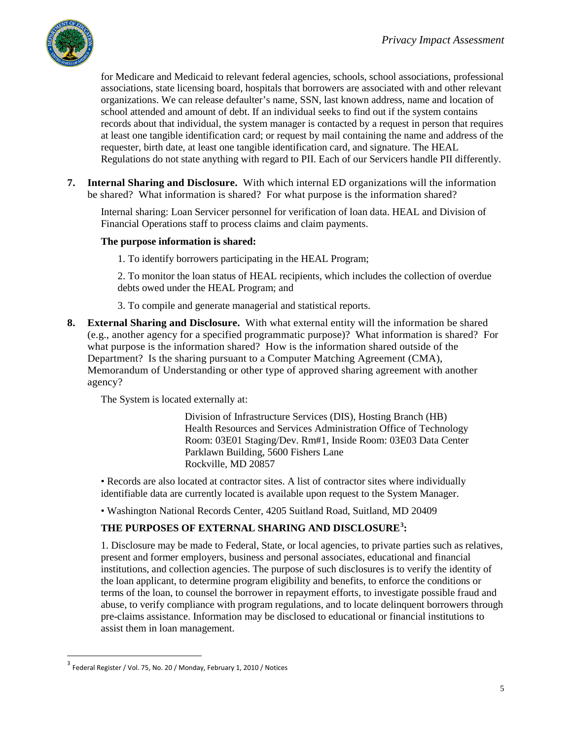

for Medicare and Medicaid to relevant federal agencies, schools, school associations, professional associations, state licensing board, hospitals that borrowers are associated with and other relevant organizations. We can release defaulter's name, SSN, last known address, name and location of school attended and amount of debt. If an individual seeks to find out if the system contains records about that individual, the system manager is contacted by a request in person that requires at least one tangible identification card; or request by mail containing the name and address of the requester, birth date, at least one tangible identification card, and signature. The HEAL Regulations do not state anything with regard to PII. Each of our Servicers handle PII differently.

**7. Internal Sharing and Disclosure.** With which internal ED organizations will the information be shared? What information is shared? For what purpose is the information shared?

Internal sharing: Loan Servicer personnel for verification of loan data. HEAL and Division of Financial Operations staff to process claims and claim payments.

### **The purpose information is shared:**

1. To identify borrowers participating in the HEAL Program;

2. To monitor the loan status of HEAL recipients, which includes the collection of overdue debts owed under the HEAL Program; and

- 3. To compile and generate managerial and statistical reports.
- **8. External Sharing and Disclosure.** With what external entity will the information be shared (e.g., another agency for a specified programmatic purpose)? What information is shared? For what purpose is the information shared? How is the information shared outside of the Department? Is the sharing pursuant to a Computer Matching Agreement (CMA), Memorandum of Understanding or other type of approved sharing agreement with another agency?

The System is located externally at:

Division of Infrastructure Services (DIS), Hosting Branch (HB) Health Resources and Services Administration Office of Technology Room: 03E01 Staging/Dev. Rm#1, Inside Room: 03E03 Data Center Parklawn Building, 5600 Fishers Lane Rockville, MD 20857

• Records are also located at contractor sites. A list of contractor sites where individually identifiable data are currently located is available upon request to the System Manager.

• Washington National Records Center, 4205 Suitland Road, Suitland, MD 20409

## **THE PURPOSES OF EXTERNAL SHARING AND DISCLOSURE[3](#page-4-0) :**

1. Disclosure may be made to Federal, State, or local agencies, to private parties such as relatives, present and former employers, business and personal associates, educational and financial institutions, and collection agencies. The purpose of such disclosures is to verify the identity of the loan applicant, to determine program eligibility and benefits, to enforce the conditions or terms of the loan, to counsel the borrower in repayment efforts, to investigate possible fraud and abuse, to verify compliance with program regulations, and to locate delinquent borrowers through pre-claims assistance. Information may be disclosed to educational or financial institutions to assist them in loan management.

 $\overline{a}$ 

<span id="page-4-0"></span><sup>3</sup> Federal Register / Vol. 75, No. 20 / Monday, February 1, 2010 / Notices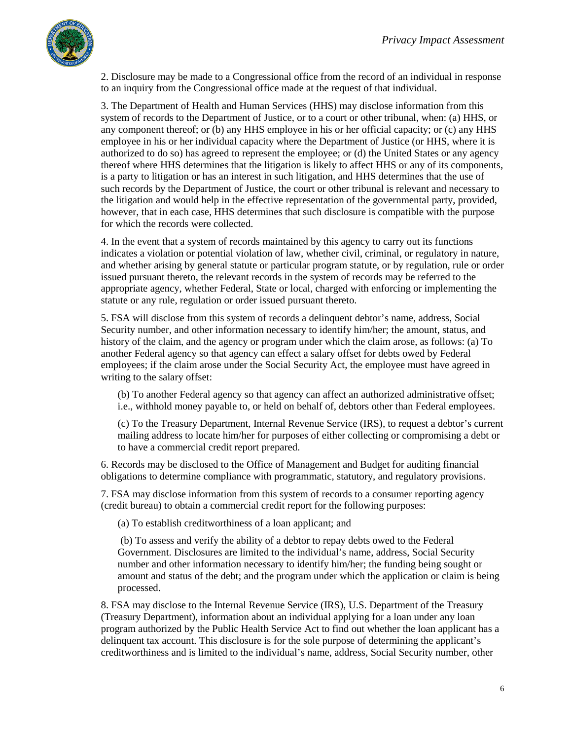

2. Disclosure may be made to a Congressional office from the record of an individual in response to an inquiry from the Congressional office made at the request of that individual.

3. The Department of Health and Human Services (HHS) may disclose information from this system of records to the Department of Justice, or to a court or other tribunal, when: (a) HHS, or any component thereof; or (b) any HHS employee in his or her official capacity; or (c) any HHS employee in his or her individual capacity where the Department of Justice (or HHS, where it is authorized to do so) has agreed to represent the employee; or (d) the United States or any agency thereof where HHS determines that the litigation is likely to affect HHS or any of its components, is a party to litigation or has an interest in such litigation, and HHS determines that the use of such records by the Department of Justice, the court or other tribunal is relevant and necessary to the litigation and would help in the effective representation of the governmental party, provided, however, that in each case, HHS determines that such disclosure is compatible with the purpose for which the records were collected.

4. In the event that a system of records maintained by this agency to carry out its functions indicates a violation or potential violation of law, whether civil, criminal, or regulatory in nature, and whether arising by general statute or particular program statute, or by regulation, rule or order issued pursuant thereto, the relevant records in the system of records may be referred to the appropriate agency, whether Federal, State or local, charged with enforcing or implementing the statute or any rule, regulation or order issued pursuant thereto.

5. FSA will disclose from this system of records a delinquent debtor's name, address, Social Security number, and other information necessary to identify him/her; the amount, status, and history of the claim, and the agency or program under which the claim arose, as follows: (a) To another Federal agency so that agency can effect a salary offset for debts owed by Federal employees; if the claim arose under the Social Security Act, the employee must have agreed in writing to the salary offset:

(b) To another Federal agency so that agency can affect an authorized administrative offset; i.e., withhold money payable to, or held on behalf of, debtors other than Federal employees.

(c) To the Treasury Department, Internal Revenue Service (IRS), to request a debtor's current mailing address to locate him/her for purposes of either collecting or compromising a debt or to have a commercial credit report prepared.

6. Records may be disclosed to the Office of Management and Budget for auditing financial obligations to determine compliance with programmatic, statutory, and regulatory provisions.

7. FSA may disclose information from this system of records to a consumer reporting agency (credit bureau) to obtain a commercial credit report for the following purposes:

(a) To establish creditworthiness of a loan applicant; and

(b) To assess and verify the ability of a debtor to repay debts owed to the Federal Government. Disclosures are limited to the individual's name, address, Social Security number and other information necessary to identify him/her; the funding being sought or amount and status of the debt; and the program under which the application or claim is being processed.

8. FSA may disclose to the Internal Revenue Service (IRS), U.S. Department of the Treasury (Treasury Department), information about an individual applying for a loan under any loan program authorized by the Public Health Service Act to find out whether the loan applicant has a delinquent tax account. This disclosure is for the sole purpose of determining the applicant's creditworthiness and is limited to the individual's name, address, Social Security number, other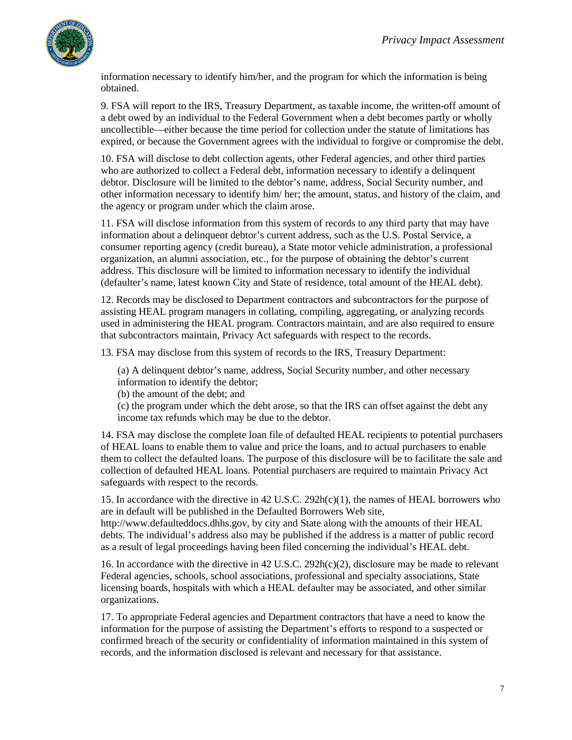

information necessary to identify him/her, and the program for which the information is being obtained.

9. FSA will report to the IRS, Treasury Department, as taxable income, the written-off amount of a debt owed by an individual to the Federal Government when a debt becomes partly or wholly uncollectible—either because the time period for collection under the statute of limitations has expired, or because the Government agrees with the individual to forgive or compromise the debt.

10. FSA will disclose to debt collection agents, other Federal agencies, and other third parties who are authorized to collect a Federal debt, information necessary to identify a delinquent debtor. Disclosure will be limited to the debtor's name, address, Social Security number, and other information necessary to identify him/ her; the amount, status, and history of the claim, and the agency or program under which the claim arose.

11. FSA will disclose information from this system of records to any third party that may have information about a delinquent debtor's current address, such as the U.S. Postal Service, a consumer reporting agency (credit bureau), a State motor vehicle administration, a professional organization, an alumni association, etc., for the purpose of obtaining the debtor's current address. This disclosure will be limited to information necessary to identify the individual (defaulter's name, latest known City and State of residence, total amount of the HEAL debt).

12. Records may be disclosed to Department contractors and subcontractors for the purpose of assisting HEAL program managers in collating, compiling, aggregating, or analyzing records used in administering the HEAL program. Contractors maintain, and are also required to ensure that subcontractors maintain, Privacy Act safeguards with respect to the records.

13. FSA may disclose from this system of records to the IRS, Treasury Department:

(a) A delinquent debtor's name, address, Social Security number, and other necessary

information to identify the debtor;

(b) the amount of the debt; and

(c) the program under which the debt arose, so that the IRS can offset against the debt any income tax refunds which may be due to the debtor.

14. FSA may disclose the complete loan file of defaulted HEAL recipients to potential purchasers of HEAL loans to enable them to value and price the loans, and to actual purchasers to enable them to collect the defaulted loans. The purpose of this disclosure will be to facilitate the sale and collection of defaulted HEAL loans. Potential purchasers are required to maintain Privacy Act safeguards with respect to the records.

15. In accordance with the directive in 42 U.S.C. 292h(c)(1), the names of HEAL borrowers who are in default will be published in the Defaulted Borrowers Web site,

http://www.defaulteddocs.dhhs.gov, by city and State along with the amounts of their HEAL debts. The individual's address also may be published if the address is a matter of public record as a result of legal proceedings having been filed concerning the individual's HEAL debt.

16. In accordance with the directive in 42 U.S.C.  $292h(c)(2)$ , disclosure may be made to relevant Federal agencies, schools, school associations, professional and specialty associations, State licensing boards, hospitals with which a HEAL defaulter may be associated, and other similar organizations.

17. To appropriate Federal agencies and Department contractors that have a need to know the information for the purpose of assisting the Department's efforts to respond to a suspected or confirmed breach of the security or confidentiality of information maintained in this system of records, and the information disclosed is relevant and necessary for that assistance.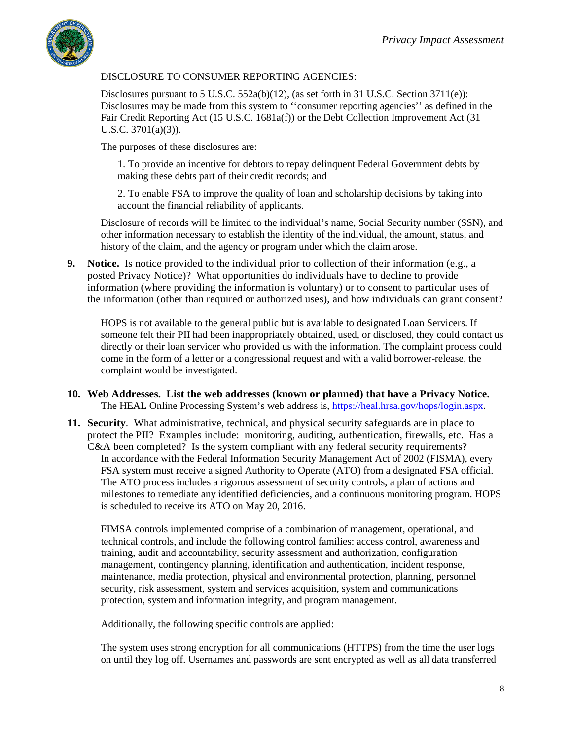

## DISCLOSURE TO CONSUMER REPORTING AGENCIES:

Disclosures pursuant to 5 U.S.C.  $552a(b)(12)$ , (as set forth in 31 U.S.C. Section 3711(e)): Disclosures may be made from this system to ''consumer reporting agencies'' as defined in the Fair Credit Reporting Act (15 U.S.C. 1681a(f)) or the Debt Collection Improvement Act (31 U.S.C. 3701(a)(3)).

The purposes of these disclosures are:

1. To provide an incentive for debtors to repay delinquent Federal Government debts by making these debts part of their credit records; and

2. To enable FSA to improve the quality of loan and scholarship decisions by taking into account the financial reliability of applicants.

Disclosure of records will be limited to the individual's name, Social Security number (SSN), and other information necessary to establish the identity of the individual, the amount, status, and history of the claim, and the agency or program under which the claim arose.

**9. Notice.** Is notice provided to the individual prior to collection of their information (e.g., a posted Privacy Notice)? What opportunities do individuals have to decline to provide information (where providing the information is voluntary) or to consent to particular uses of the information (other than required or authorized uses), and how individuals can grant consent?

HOPS is not available to the general public but is available to designated Loan Servicers. If someone felt their PII had been inappropriately obtained, used, or disclosed, they could contact us directly or their loan servicer who provided us with the information. The complaint process could come in the form of a letter or a congressional request and with a valid borrower-release, the complaint would be investigated.

- **10. Web Addresses. List the web addresses (known or planned) that have a Privacy Notice.** The HEAL Online Processing System's web address is, [https://heal.hrsa.gov/hops/login.aspx.](https://heal.hrsa.gov/hops/login.aspx)
- **11. Security**. What administrative, technical, and physical security safeguards are in place to protect the PII? Examples include: monitoring, auditing, authentication, firewalls, etc. Has a C&A been completed? Is the system compliant with any federal security requirements? In accordance with the Federal Information Security Management Act of 2002 (FISMA), every FSA system must receive a signed Authority to Operate (ATO) from a designated FSA official. The ATO process includes a rigorous assessment of security controls, a plan of actions and milestones to remediate any identified deficiencies, and a continuous monitoring program. HOPS is scheduled to receive its ATO on May 20, 2016.

FIMSA controls implemented comprise of a combination of management, operational, and technical controls, and include the following control families: access control, awareness and training, audit and accountability, security assessment and authorization, configuration management, contingency planning, identification and authentication, incident response, maintenance, media protection, physical and environmental protection, planning, personnel security, risk assessment, system and services acquisition, system and communications protection, system and information integrity, and program management.

Additionally, the following specific controls are applied:

The system uses strong encryption for all communications (HTTPS) from the time the user logs on until they log off. Usernames and passwords are sent encrypted as well as all data transferred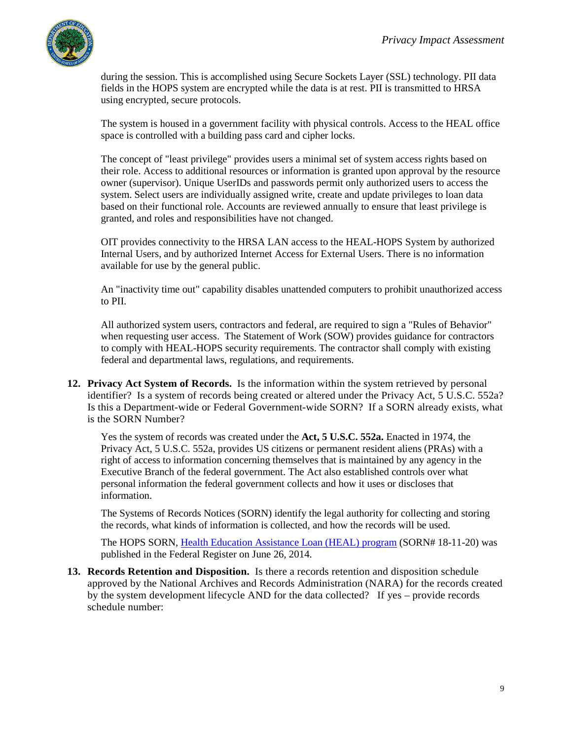

during the session. This is accomplished using Secure Sockets Layer (SSL) technology. PII data fields in the HOPS system are encrypted while the data is at rest. PII is transmitted to HRSA using encrypted, secure protocols.

The system is housed in a government facility with physical controls. Access to the HEAL office space is controlled with a building pass card and cipher locks.

The concept of "least privilege" provides users a minimal set of system access rights based on their role. Access to additional resources or information is granted upon approval by the resource owner (supervisor). Unique UserIDs and passwords permit only authorized users to access the system. Select users are individually assigned write, create and update privileges to loan data based on their functional role. Accounts are reviewed annually to ensure that least privilege is granted, and roles and responsibilities have not changed.

OIT provides connectivity to the HRSA LAN access to the HEAL-HOPS System by authorized Internal Users, and by authorized Internet Access for External Users. There is no information available for use by the general public.

An "inactivity time out" capability disables unattended computers to prohibit unauthorized access to PII.

All authorized system users, contractors and federal, are required to sign a "Rules of Behavior" when requesting user access. The Statement of Work (SOW) provides guidance for contractors to comply with HEAL-HOPS security requirements. The contractor shall comply with existing federal and departmental laws, regulations, and requirements.

**12. Privacy Act System of Records.** Is the information within the system retrieved by personal identifier? Is a system of records being created or altered under the Privacy Act, 5 U.S.C. 552a? Is this a Department-wide or Federal Government-wide SORN? If a SORN already exists, what is the SORN Number?

Yes the system of records was created under the **Act, 5 U.S.C. 552a.** Enacted in 1974, the Privacy Act, 5 U.S.C. 552a, provides US citizens or permanent resident aliens (PRAs) with a right of access to information concerning themselves that is maintained by any agency in the Executive Branch of the federal government. The Act also established controls over what personal information the federal government collects and how it uses or discloses that information.

The Systems of Records Notices (SORN) identify the legal authority for collecting and storing the records, what kinds of information is collected, and how the records will be used.

The HOPS SORN, [Health Education Assistance Loan \(HEAL\) program](https://www.gpo.gov/fdsys/pkg/FR-2014-06-26/pdf/2014-14928.pdf) (SORN# 18-11-20) was published in the Federal Register on June 26, 2014.

**13. Records Retention and Disposition.** Is there a records retention and disposition schedule approved by the National Archives and Records Administration (NARA) for the records created by the system development lifecycle AND for the data collected? If yes – provide records schedule number: